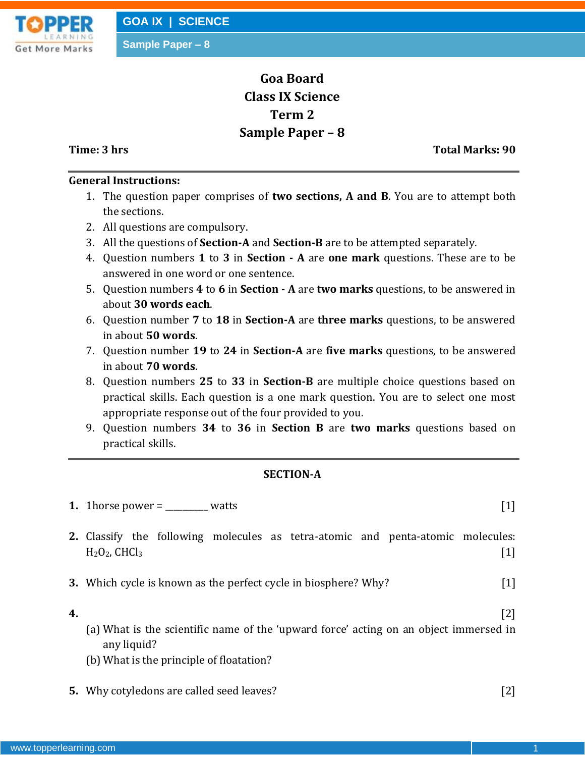

# **Goa Board Class IX Science Term 2 Sample Paper – 8**

**Time: 3 hrs Total Marks: 90**

### **General Instructions:**

- 1. The question paper comprises of **two sections, A and B**. You are to attempt both the sections.
- 2. All questions are compulsory.
- 3. All the questions of **Section-A** and **Section-B** are to be attempted separately.
- 4. Question numbers **1** to **3** in **Section - A** are **one mark** questions. These are to be answered in one word or one sentence.
- 5. Question numbers **4** to **6** in **Section - A** are **two marks** questions, to be answered in about **30 words each**.
- 6. Question number **7** to **18** in **Section-A** are **three marks** questions, to be answered in about **50 words**.
- 7. Question number **19** to **24** in **Section-A** are **five marks** questions, to be answered in about **70 words**.
- 8. Question numbers **25** to **33** in **Section-B** are multiple choice questions based on practical skills. Each question is a one mark question. You are to select one most appropriate response out of the four provided to you.
- 9. Question numbers **34** to **36** in **Section B** are **two marks** questions based on practical skills.

#### **SECTION-A**

- **1.** 1horse power = \_\_\_\_\_\_\_\_ watts  $\begin{bmatrix} 1 \end{bmatrix}$
- **2.** Classify the following molecules as tetra-atomic and penta-atomic molecules:  $H_2O_2$ , CHCl<sub>3</sub> [1]
- **3.** Which cycle is known as the perfect cycle in biosphere? Why? [1]
- **4.** [2] (a) What is the scientific name of the 'upward force' acting on an object immersed in any liquid?
	- (b) What is the principle of floatation?
- **5.** Why cotyledons are called seed leaves? [2]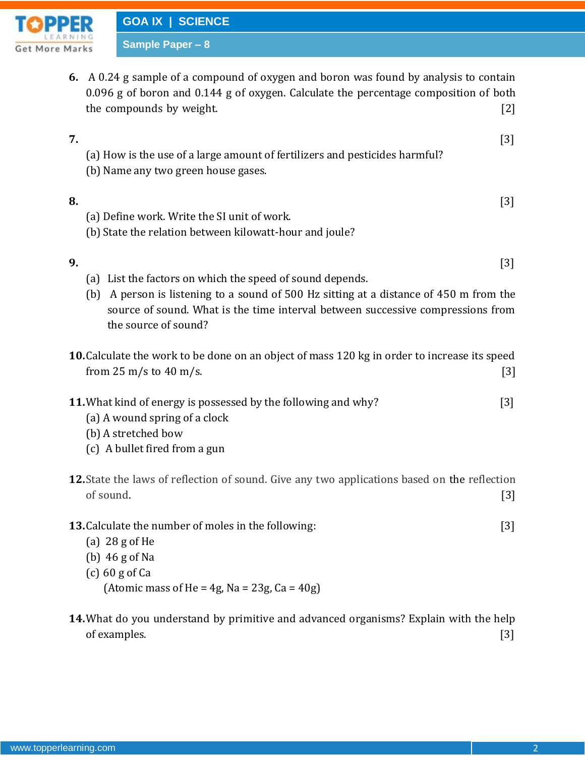

**GOA IX | SCIENCE**

**Sample Paper – 8**

**6.** A 0.24 g sample of a compound of oxygen and boron was found by analysis to contain 0.096 g of boron and 0.144 g of oxygen. Calculate the percentage composition of both the compounds by weight. [2]

| (a) How is the use of a large amount of fertilizers and pesticides harmful? |  |
|-----------------------------------------------------------------------------|--|
| (b) Name any two groop house gases                                          |  |

(b) Name any two green house gases.

| 8. |                                             |  |
|----|---------------------------------------------|--|
|    | (a) Define work. Write the SI unit of work. |  |

(b) State the relation between kilowatt-hour and joule?

| Q<br><b>J.</b> |  |  |  |  |  |  | <b>FOJ</b> |
|----------------|--|--|--|--|--|--|------------|
|                |  |  |  |  |  |  |            |

- (a) List the factors on which the speed of sound depends.
- (b) A person is listening to a sound of 500 Hz sitting at a distance of 450 m from the source of sound. What is the time interval between successive compressions from the source of sound?
- **10.**Calculate the work to be done on an object of mass 120 kg in order to increase its speed from  $25 \text{ m/s}$  to  $40 \text{ m/s}$ . [3]
- **11.**What kind of energy is possessed by the following and why? [3]
	- (a) A wound spring of a clock
	- (b) A stretched bow
	- (c) A bullet fired from a gun
- **12.**State the laws of reflection of sound. Give any two applications based on the reflection of sound.  $[3]$
- **13.**Calculate the number of moles in the following:[3]
	- (a) 28 g of He
	- (b) 46 g of Na
	- (c) 60 g of Ca

(Atomic mass of He = 4g, Na =  $23g$ , Ca =  $40g$ )

**14.**What do you understand by primitive and advanced organisms? Explain with the help of examples. [3]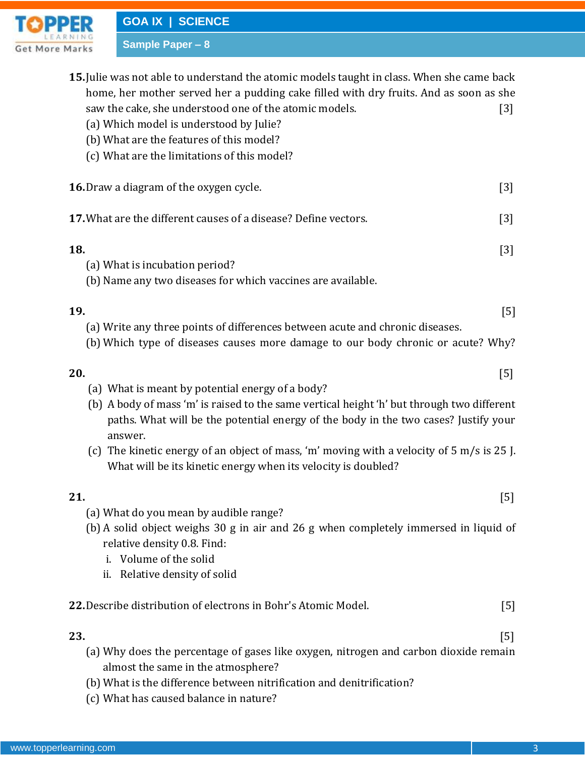| 15. Julie was not able to understand the atomic models taught in class. When she came back |                   |
|--------------------------------------------------------------------------------------------|-------------------|
| home, her mother served her a pudding cake filled with dry fruits. And as soon as she      |                   |
| saw the cake, she understood one of the atomic models.                                     | $\lceil 3 \rceil$ |
|                                                                                            |                   |

- (a) Which model is understood by Julie?
- (b) What are the features of this model?
- (c) What are the limitations of this model?

| <b>16.</b> Draw a diagram of the oxygen cycle. |  |
|------------------------------------------------|--|
|------------------------------------------------|--|

**17.**What are the different causes of a disease? Define vectors.[3]

| 18.                            | $[3]$ |
|--------------------------------|-------|
| (a) What is incubation period? |       |

(b) Name any two diseases for which vaccines are available.

| 19. |        |   |        |     | $F - 1$ |
|-----|--------|---|--------|-----|---------|
|     | $\sim$ | . | $\sim$ | ___ |         |

- (a) Write any three points of differences between acute and chronic diseases.
- (b) Which type of diseases causes more damage to our body chronic or acute? Why?

#### **20.** [5]

- (a) What is meant by potential energy of a body?
- (b) A body of mass 'm' is raised to the same vertical height 'h' but through two different paths. What will be the potential energy of the body in the two cases? Justify your answer.
- (c) The kinetic energy of an object of mass, 'm' moving with a velocity of 5 m/s is 25 J. What will be its kinetic energy when its velocity is doubled?

# **21.** [5]

- (a) What do you mean by audible range?
- (b) A solid object weighs 30 g in air and 26 g when completely immersed in liquid of relative density 0.8. Find:
	- i. Volume of the solid
	- ii. Relative density of solid

# **22.**Describe distribution of electrons in Bohr's Atomic Model. [5]

#### **23.** [5]

- (a) Why does the percentage of gases like oxygen, nitrogen and carbon dioxide remain almost the same in the atmosphere?
- (b) What is the difference between nitrification and denitrification?
- (c) What has caused balance in nature?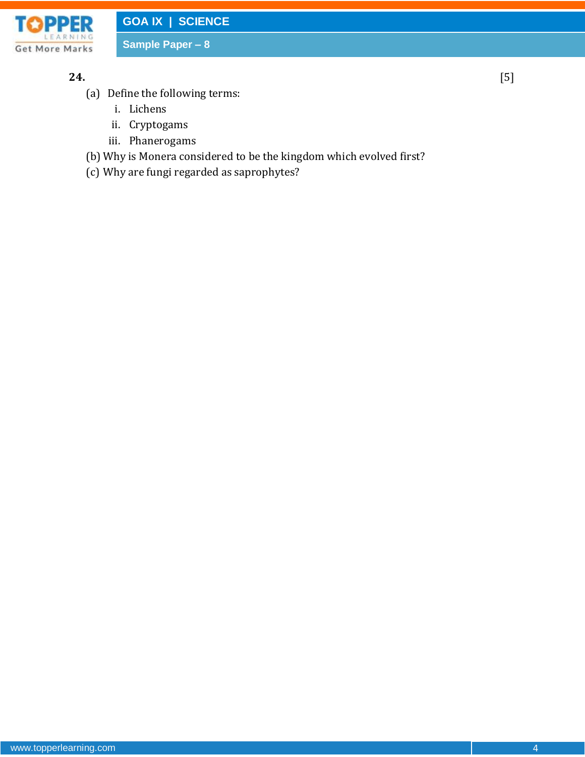

**GOA IX | SCIENCE**

**Sample Paper – 8**

## **24.** [5]

- (a) Define the following terms:
	- i. Lichens
	- ii. Cryptogams
	- iii. Phanerogams
- (b) Why is Monera considered to be the kingdom which evolved first?
- (c) Why are fungi regarded as saprophytes?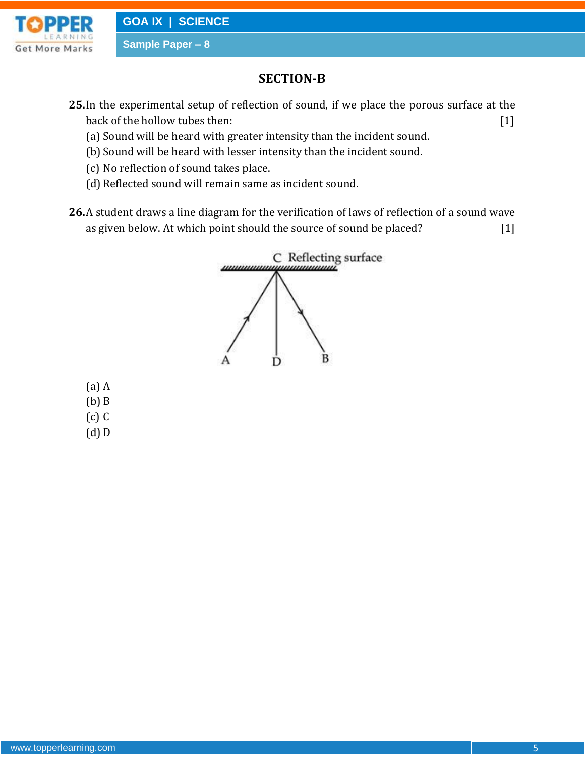

# **SECTION-B**

- **25.**In the experimental setup of reflection of sound, if we place the porous surface at the back of the hollow tubes then: [1]
	- (a) Sound will be heard with greater intensity than the incident sound.
	- (b) Sound will be heard with lesser intensity than the incident sound.
	- (c) No reflection of sound takes place.
	- (d) Reflected sound will remain same as incident sound.
- **26.**A student draws a line diagram for the verification of laws of reflection of a sound wave as given below. At which point should the source of sound be placed? [1]



- (a) A
- (b) B
- (c) C
- (d) D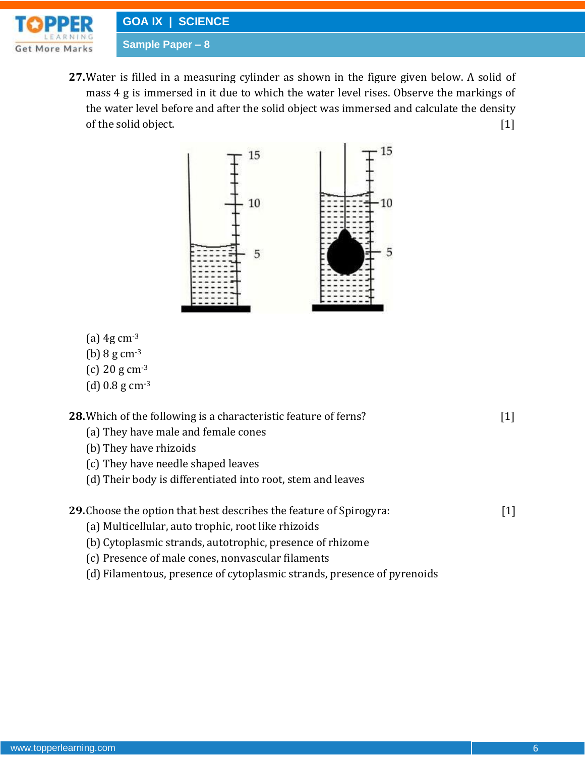

**27.**Water is filled in a measuring cylinder as shown in the figure given below. A solid of mass 4 g is immersed in it due to which the water level rises. Observe the markings of the water level before and after the solid object was immersed and calculate the density of the solid object. [1]



- (a) 4g cm-3
- (b) 8 g cm-3
- (c) 20 g cm-3
- (d) 0.8 g cm-3

| 28. Which of the following is a characteristic feature of ferns?           |     |  |  |  |  |
|----------------------------------------------------------------------------|-----|--|--|--|--|
| (a) They have male and female cones                                        |     |  |  |  |  |
| (b) They have rhizoids                                                     |     |  |  |  |  |
| (c) They have needle shaped leaves                                         |     |  |  |  |  |
| (d) Their body is differentiated into root, stem and leaves                |     |  |  |  |  |
| <b>29.</b> Choose the option that best describes the feature of Spirogyra: | [1] |  |  |  |  |
| (a) Multicellular, auto trophic, root like rhizoids                        |     |  |  |  |  |
| (b) Cytoplasmic strands, autotrophic, presence of rhizome                  |     |  |  |  |  |
| (c) Presence of male cones, nonvascular filaments                          |     |  |  |  |  |

(d) Filamentous, presence of cytoplasmic strands, presence of pyrenoids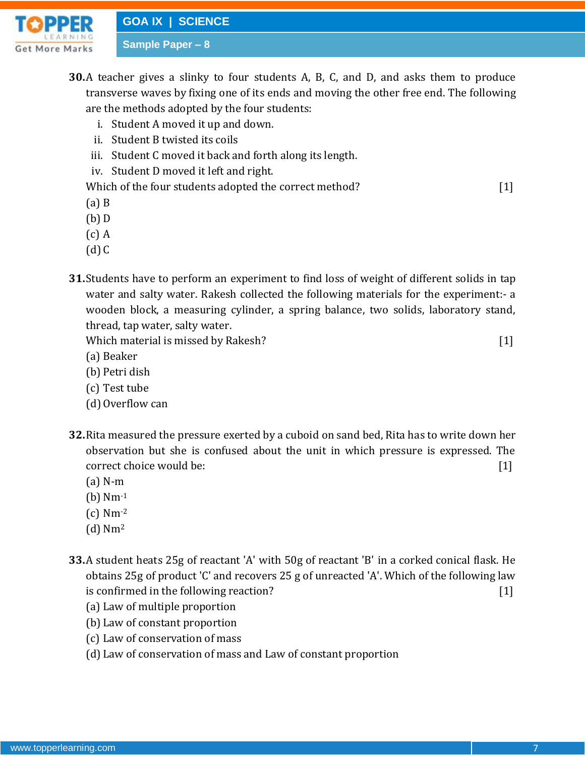

- **30.**A teacher gives a slinky to four students A, B, C, and D, and asks them to produce transverse waves by fixing one of its ends and moving the other free end. The following are the methods adopted by the four students:
	- i. Student A moved it up and down.
	- ii. Student B twisted its coils
	- iii. Student C moved it back and forth along its length.
	- iv. Student D moved it left and right.

Which of the four students adopted the correct method? [1]

- (a) B
- (b) D
- (c) A
- (d) C
- **31.**Students have to perform an experiment to find loss of weight of different solids in tap water and salty water. Rakesh collected the following materials for the experiment:- a wooden block, a measuring cylinder, a spring balance, two solids, laboratory stand, thread, tap water, salty water.

Which material is missed by Rakesh? [1]

- (a) Beaker
- (b) Petri dish
- (c) Test tube
- (d) Overflow can
- **32.**Rita measured the pressure exerted by a cuboid on sand bed, Rita has to write down her observation but she is confused about the unit in which pressure is expressed. The correct choice would be: [1]
	- (a) N-m
	- (b) Nm-1
	- (c) Nm-2
	- (d) Nm<sup>2</sup>
- **33.**A student heats 25g of reactant 'A' with 50g of reactant 'B' in a corked conical flask. He obtains 25g of product 'C' and recovers 25 g of unreacted 'A'. Which of the following law is confirmed in the following reaction? [1]
	- (a) Law of multiple proportion
	- (b) Law of constant proportion
	- (c) Law of conservation of mass
	- (d) Law of conservation of mass and Law of constant proportion